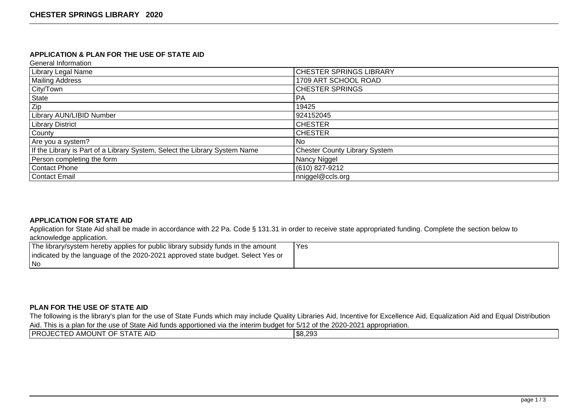## **APPLICATION & PLAN FOR THE USE OF STATE AID**

General Information

| <b>Library Legal Name</b>                                                  | <b>CHESTER SPRINGS LIBRARY</b>       |
|----------------------------------------------------------------------------|--------------------------------------|
| <b>Mailing Address</b>                                                     | 1709 ART SCHOOL ROAD                 |
| City/Town                                                                  | <b>CHESTER SPRINGS</b>               |
| State                                                                      | <b>PA</b>                            |
| Zip                                                                        | 19425                                |
| <b>Library AUN/LIBID Number</b>                                            | 924152045                            |
| <b>Library District</b>                                                    | <b>CHESTER</b>                       |
| County                                                                     | <b>CHESTER</b>                       |
| Are you a system?                                                          | l No                                 |
| If the Library is Part of a Library System, Select the Library System Name | <b>Chester County Library System</b> |
| Person completing the form                                                 | Nancy Niggel                         |
| Contact Phone                                                              | (610) 827-9212                       |
| Contact Email                                                              | nniggel@ccls.org                     |

## **APPLICATION FOR STATE AID**

Application for State Aid shall be made in accordance with 22 Pa. Code § 131.31 in order to receive state appropriated funding. Complete the section below to acknowledge application.

| The library/system hereby applies for public library subsidy funds in the amount | Yes |
|----------------------------------------------------------------------------------|-----|
| indicated by the language of the 2020-2021 approved state budget. Select Yes or  |     |
| l No                                                                             |     |

#### **PLAN FOR THE USE OF STATE AID**

The following is the library's plan for the use of State Funds which may include Quality Libraries Aid, Incentive for Excellence Aid, Equalization Aid and Equal Distribution Aid. This is a plan for the use of State Aid funds apportioned via the interim budget for 5/12 of the 2020-2021 appropriation.

| <b>PROJECTED</b><br>AMOUNT OF STATE AID<br>\$8,293 |  |  |
|----------------------------------------------------|--|--|
|                                                    |  |  |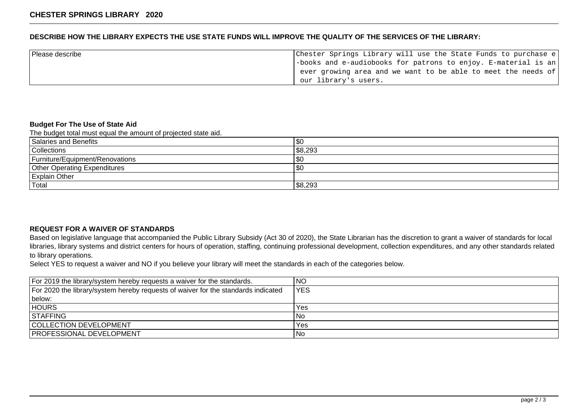## **DESCRIBE HOW THE LIBRARY EXPECTS THE USE STATE FUNDS WILL IMPROVE THE QUALITY OF THE SERVICES OF THE LIBRARY:**

| Please describe | Chester Springs Library will use the State Funds to purchase e                 |
|-----------------|--------------------------------------------------------------------------------|
|                 | $\vert$ -books and e-audiobooks for patrons to enjoy. E-material is an $\vert$ |
|                 | ever growing area and we want to be able to meet the needs of                  |
|                 | our library's users.                                                           |

#### **Budget For The Use of State Aid**

The budget total must equal the amount of projected state aid.

| Salaries and Benefits               | \$0        |
|-------------------------------------|------------|
| Collections                         | \$8,293    |
| Furniture/Equipment/Renovations     | '\$0       |
| <b>Other Operating Expenditures</b> | <b>\$0</b> |
| <b>Explain Other</b>                |            |
| 'Total                              | \$8,293    |

#### **REQUEST FOR A WAIVER OF STANDARDS**

Based on legislative language that accompanied the Public Library Subsidy (Act 30 of 2020), the State Librarian has the discretion to grant a waiver of standards for local libraries, library systems and district centers for hours of operation, staffing, continuing professional development, collection expenditures, and any other standards related to library operations.

Select YES to request a waiver and NO if you believe your library will meet the standards in each of the categories below.

| For 2019 the library/system hereby requests a waiver for the standards.           | <b>NO</b>  |
|-----------------------------------------------------------------------------------|------------|
| For 2020 the library/system hereby requests of waiver for the standards indicated | <b>YES</b> |
| below:                                                                            |            |
| <b>HOURS</b>                                                                      | Yes        |
| <b>STAFFING</b>                                                                   | No         |
| <b>COLLECTION DEVELOPMENT</b>                                                     | Yes        |
| <b>PROFESSIONAL DEVELOPMENT</b>                                                   | No.        |